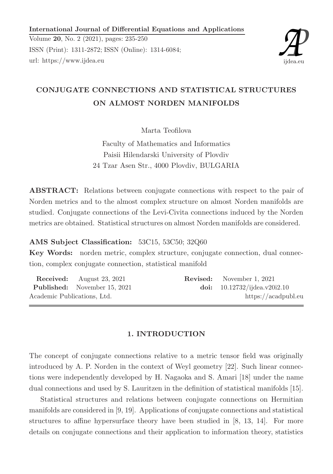International Journal of Differential Equations and Applications

Volume 20, No. 2 (2021), pages: 235-250 ISSN (Print): 1311-2872; ISSN (Online): 1314-6084; url: https://www.ijdea.eu



# CONJUGATE CONNECTIONS AND STATISTICAL STRUCTURES ON ALMOST NORDEN MANIFOLDS

Marta Teofilova

Faculty of Mathematics and Informatics Paisii Hilendarski University of Plovdiv 24 Tzar Asen Str., 4000 Plovdiv, BULGARIA

ABSTRACT: Relations between conjugate connections with respect to the pair of Norden metrics and to the almost complex structure on almost Norden manifolds are studied. Conjugate connections of the Levi-Civita connections induced by the Norden metrics are obtained. Statistical structures on almost Norden manifolds are considered.

AMS Subject Classification: 53C15, 53C50; 32Q60

Key Words: norden metric, complex structure, conjugate connection, dual connection, complex conjugate connection, statistical manifold

| <b>Received:</b> August 23, 2021    | <b>Revised:</b> November 1, 2021 |
|-------------------------------------|----------------------------------|
| <b>Published:</b> November 15, 2021 | doi: $10.12732/ijdea.v20i2.10$   |
| Academic Publications, Ltd.         | https://acadpubl.eu              |

#### 1. INTRODUCTION

The concept of conjugate connections relative to a metric tensor field was originally introduced by A. P. Norden in the context of Weyl geometry [22]. Such linear connections were independently developed by H. Nagaoka and S. Amari [18] under the name dual connections and used by S. Lauritzen in the definition of statistical manifolds [15].

Statistical structures and relations between conjugate connections on Hermitian manifolds are considered in [9, 19]. Applications of conjugate connections and statistical structures to affine hypersurface theory have been studied in [8, 13, 14]. For more details on conjugate connections and their application to information theory, statistics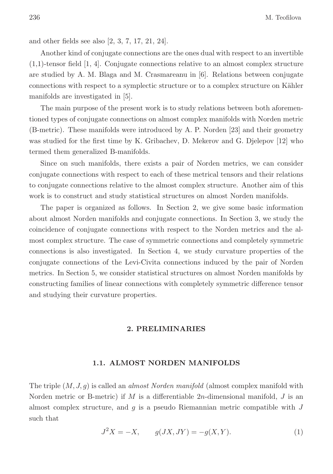and other fields see also [2, 3, 7, 17, 21, 24].

Another kind of conjugate connections are the ones dual with respect to an invertible (1,1)-tensor field [1, 4]. Conjugate connections relative to an almost complex structure are studied by A. M. Blaga and M. Crasmareanu in [6]. Relations between conjugate connections with respect to a symplectic structure or to a complex structure on Kähler manifolds are investigated in [5].

The main purpose of the present work is to study relations between both aforementioned types of conjugate connections on almost complex manifolds with Norden metric (B-metric). These manifolds were introduced by A. P. Norden [23] and their geometry was studied for the first time by K. Gribachev, D. Mekerov and G. Djelepov [12] who termed them generalized B-manifolds.

Since on such manifolds, there exists a pair of Norden metrics, we can consider conjugate connections with respect to each of these metrical tensors and their relations to conjugate connections relative to the almost complex structure. Another aim of this work is to construct and study statistical structures on almost Norden manifolds.

The paper is organized as follows. In Section 2, we give some basic information about almost Norden manifolds and conjugate connections. In Section 3, we study the coincidence of conjugate connections with respect to the Norden metrics and the almost complex structure. The case of symmetric connections and completely symmetric connections is also investigated. In Section 4, we study curvature properties of the conjugate connections of the Levi-Civita connections induced by the pair of Norden metrics. In Section 5, we consider statistical structures on almost Norden manifolds by constructing families of linear connections with completely symmetric difference tensor and studying their curvature properties.

#### 2. PRELIMINARIES

#### 1.1. ALMOST NORDEN MANIFOLDS

The triple  $(M, J, g)$  is called an *almost Norden manifold* (almost complex manifold with Norden metric or B-metric) if  $M$  is a differentiable 2n-dimensional manifold,  $J$  is an almost complex structure, and  $g$  is a pseudo Riemannian metric compatible with  $J$ such that

$$
J^{2}X = -X, \t g(JX, JY) = -g(X, Y). \t(1)
$$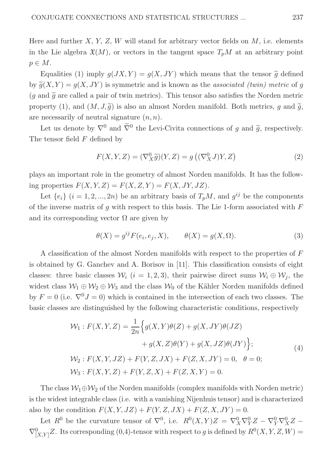Here and further  $X, Y, Z, W$  will stand for arbitrary vector fields on  $M$ , i.e. elements in the Lie algebra  $\mathfrak{X}(M)$ , or vectors in the tangent space  $T_pM$  at an arbitrary point  $p \in M$ .

Equalities (1) imply  $q(JX, Y) = q(X, JY)$  which means that the tensor  $\tilde{q}$  defined by  $\widetilde{q}(X, Y) = q(X, JY)$  is symmetric and is known as the associated (twin) metric of q  $(q \text{ and } \tilde{q} \text{ are called a pair of twin metrics}).$  This tensor also satisfies the Norden metric property (1), and  $(M, J, \tilde{q})$  is also an almost Norden manifold. Both metrics, q and  $\tilde{q}$ , are necessarily of neutral signature  $(n, n)$ .

Let us denote by  $\nabla^0$  and  $\overline{\nabla}^0$  the Levi-Civita connections of g and  $\tilde{g}$ , respectively. The tensor field F defined by

$$
F(X, Y, Z) = (\nabla_X^0 \widetilde{g})(Y, Z) = g((\nabla_X^0 J)Y, Z)
$$
\n(2)

plays an important role in the geometry of almost Norden manifolds. It has the following properties  $F(X, Y, Z) = F(X, Z, Y) = F(X, JY, JZ).$ 

Let  $\{e_i\}$   $(i = 1, 2, ..., 2n)$  be an arbitrary basis of  $T_pM$ , and  $g^{ij}$  be the components of the inverse matrix of  $g$  with respect to this basis. The Lie 1-form associated with  $F$ and its corresponding vector  $\Omega$  are given by

$$
\theta(X) = g^{ij} F(e_i, e_j, X), \qquad \theta(X) = g(X, \Omega). \tag{3}
$$

A classification of the almost Norden manifolds with respect to the properties of F is obtained by G. Ganchev and A. Borisov in [11]. This classification consists of eight classes: three basic classes  $\mathcal{W}_i$  (i = 1, 2, 3), their pairwise direct sums  $\mathcal{W}_i \oplus \mathcal{W}_j$ , the widest class  $W_1 \oplus W_2 \oplus W_3$  and the class  $W_0$  of the Kähler Norden manifolds defined by  $F = 0$  (i.e.  $\nabla^0 J = 0$ ) which is contained in the intersection of each two classes. The basic classes are distinguished by the following characteristic conditions, respectively

$$
\mathcal{W}_1: F(X, Y, Z) = \frac{1}{2n} \Big\{ g(X, Y)\theta(Z) + g(X, JY)\theta(JZ) + g(X, Z)\theta(Y) + g(X, JZ)\theta(JY) \Big\};
$$
  

$$
\mathcal{W}_2: F(X, Y, JZ) + F(Y, Z, JX) + F(Z, X, JY) = 0, \quad \theta = 0;
$$
  

$$
\mathcal{W}_3: F(X, Y, Z) + F(Y, Z, X) + F(Z, X, Y) = 0.
$$
 (4)

The class  $\mathcal{W}_1 \oplus \mathcal{W}_2$  of the Norden manifolds (complex manifolds with Norden metric) is the widest integrable class (i.e. with a vanishing Nijenhuis tensor) and is characterized also by the condition  $F(X, Y, JZ) + F(Y, Z, JX) + F(Z, X, JY) = 0.$ 

Let  $R^0$  be the curvature tensor of  $\nabla^0$ , i.e.  $R^0(X,Y)Z = \nabla^0_X \nabla^0_Y Z - \nabla^0_Y \nabla^0_X Z$  $\nabla^0_{[X,Y]}Z$ . Its corresponding (0,4)-tensor with respect to g is defined by  $R^0(X,Y,Z,W)$  =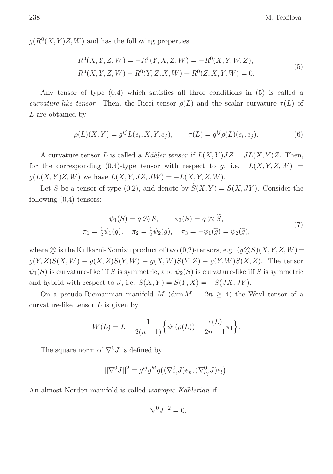$g(R^{0}(X,Y)Z,W)$  and has the following properties

$$
R^{0}(X, Y, Z, W) = -R^{0}(Y, X, Z, W) = -R^{0}(X, Y, W, Z),
$$
  
\n
$$
R^{0}(X, Y, Z, W) + R^{0}(Y, Z, X, W) + R^{0}(Z, X, Y, W) = 0.
$$
\n(5)

Any tensor of type  $(0,4)$  which satisfies all three conditions in  $(5)$  is called a curvature-like tensor. Then, the Ricci tensor  $\rho(L)$  and the scalar curvature  $\tau(L)$  of L are obtained by

$$
\rho(L)(X,Y) = g^{ij}L(e_i, X, Y, e_j), \qquad \tau(L) = g^{ij}\rho(L)(e_i, e_j).
$$
 (6)

A curvature tensor L is called a Kähler tensor if  $L(X, Y)JZ = JL(X, Y)Z$ . Then, for the corresponding  $(0,4)$ -type tensor with respect to g, i.e.  $L(X, Y, Z, W)$  =  $g(L(X, Y)Z, W)$  we have  $L(X, Y, JZ, JW) = -L(X, Y, Z, W)$ .

Let S be a tensor of type (0,2), and denote by  $\widetilde{S}(X,Y) = S(X,JY)$ . Consider the following  $(0,4)$ -tensors:

$$
\psi_1(S) = g \bigotimes S, \qquad \psi_2(S) = \widetilde{g} \bigotimes \widetilde{S},
$$
  
\n
$$
\pi_1 = \frac{1}{2}\psi_1(g), \quad \pi_2 = \frac{1}{2}\psi_2(g), \quad \pi_3 = -\psi_1(\widetilde{g}) = \psi_2(\widetilde{g}),
$$
\n(7)

where  $\oslash$  is the Kulkarni-Nomizu product of two  $(0,2)$ -tensors, e.g.  $(g\oslash S)(X, Y, Z, W)$  =  $g(Y, Z)S(X, W) - g(X, Z)S(Y, W) + g(X, W)S(Y, Z) - g(Y, W)S(X, Z)$ . The tensor  $\psi_1(S)$  is curvature-like iff S is symmetric, and  $\psi_2(S)$  is curvature-like iff S is symmetric and hybrid with respect to J, i.e.  $S(X, Y) = S(Y, X) = -S(JX, JY)$ .

On a pseudo-Riemannian manifold M (dim  $M = 2n \geq 4$ ) the Weyl tensor of a curvature-like tensor  $L$  is given by

$$
W(L) = L - \frac{1}{2(n-1)} \Big\{ \psi_1(\rho(L)) - \frac{\tau(L)}{2n-1} \pi_1 \Big\}.
$$

The square norm of  $\nabla^0 J$  is defined by

$$
||\nabla^{0}J||^{2} = g^{ij}g^{kl}g((\nabla^{0}_{e_{i}}J)e_{k}, (\nabla^{0}_{e_{j}}J)e_{l}).
$$

An almost Norden manifold is called *isotropic Kählerian* if

$$
||\nabla^0 J||^2 = 0.
$$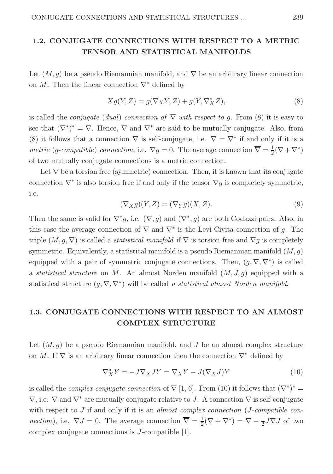### 1.2. CONJUGATE CONNECTIONS WITH RESPECT TO A METRIC TENSOR AND STATISTICAL MANIFOLDS

Let  $(M, q)$  be a pseudo Riemannian manifold, and  $\nabla$  be an arbitrary linear connection on M. Then the linear connection  $\nabla^*$  defined by

$$
Xg(Y,Z) = g(\nabla_X Y, Z) + g(Y, \nabla_X^* Z),\tag{8}
$$

is called the *conjugate* (dual) connection of  $\nabla$  with respect to g. From (8) it is easy to see that  $(\nabla^*)^* = \nabla$ . Hence,  $\nabla$  and  $\nabla^*$  are said to be mutually conjugate. Also, from (8) it follows that a connection  $\nabla$  is self-conjugate, i.e.  $\nabla = \nabla^*$  if and only if it is a *metric* (g-compatible) connection, i.e.  $\nabla g = 0$ . The average connection  $\overline{\nabla} = \frac{1}{2}$  $\frac{1}{2}(\nabla + \nabla^*)$ of two mutually conjugate connections is a metric connection.

Let  $\nabla$  be a torsion free (symmetric) connection. Then, it is known that its conjugate connection  $\nabla^*$  is also torsion free if and only if the tensor  $\nabla g$  is completely symmetric, i.e.

$$
(\nabla_X g)(Y, Z) = (\nabla_Y g)(X, Z). \tag{9}
$$

Then the same is valid for  $\nabla^* g$ , i.e.  $(\nabla, g)$  and  $(\nabla^*, g)$  are both Codazzi pairs. Also, in this case the average connection of  $\nabla$  and  $\nabla^*$  is the Levi-Civita connection of g. The triple  $(M, g, \nabla)$  is called a *statistical manifold* if  $\nabla$  is torsion free and  $\nabla g$  is completely symmetric. Equivalently, a statistical manifold is a pseudo Riemannian manifold  $(M, q)$ equipped with a pair of symmetric conjugate connections. Then,  $(g, \nabla, \nabla^*)$  is called a statistical structure on M. An almost Norden manifold  $(M, J, g)$  equipped with a statistical structure  $(g, \nabla, \nabla^*)$  will be called a statistical almost Norden manifold.

### 1.3. CONJUGATE CONNECTIONS WITH RESPECT TO AN ALMOST COMPLEX STRUCTURE

Let  $(M, g)$  be a pseudo Riemannian manifold, and J be an almost complex structure on M. If  $\nabla$  is an arbitrary linear connection then the connection  $\nabla^*$  defined by

$$
\nabla_X^* Y = -J \nabla_X J Y = \nabla_X Y - J(\nabla_X J) Y \tag{10}
$$

is called the *complex conjugate connection* of  $\nabla$  [1, 6]. From (10) it follows that  $(\nabla^*)^* =$  $\nabla$ , i.e.  $\nabla$  and  $\nabla^*$  are mutually conjugate relative to J. A connection  $\nabla$  is self-conjugate with respect to  $J$  if and only if it is an *almost complex connection* ( $J$ -compatible con*nection*), i.e.  $\nabla J = 0$ . The average connection  $\overline{\nabla} = \frac{1}{2}$  $\frac{1}{2}(\nabla + \nabla^*) = \nabla - \frac{1}{2}J\nabla J$  of two complex conjugate connections is J-compatible [1].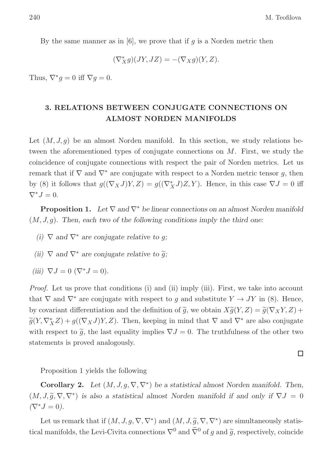By the same manner as in  $[6]$ , we prove that if g is a Norden metric then

$$
(\nabla_X^* g)(JY, JZ) = -(\nabla_X g)(Y, Z).
$$

Thus,  $\nabla^* g = 0$  iff  $\nabla g = 0$ .

### 3. RELATIONS BETWEEN CONJUGATE CONNECTIONS ON ALMOST NORDEN MANIFOLDS

Let  $(M, J, g)$  be an almost Norden manifold. In this section, we study relations between the aforementioned types of conjugate connections on  $M$ . First, we study the coincidence of conjugate connections with respect the pair of Norden metrics. Let us remark that if  $\nabla$  and  $\nabla^*$  are conjugate with respect to a Norden metric tensor g, then by (8) it follows that  $g((\nabla_X J)Y, Z) = g((\nabla_X^* J)Z, Y)$ . Hence, in this case  $\nabla J = 0$  iff  $\nabla^* J = 0.$ 

**Proposition 1.** Let  $\nabla$  and  $\nabla^*$  be linear connections on an almost Norden manifold  $(M, J, g)$ . Then, each two of the following conditions imply the third one:

- (i)  $\nabla$  and  $\nabla^*$  are conjugate relative to g;
- (ii)  $\nabla$  and  $\nabla^*$  are conjugate relative to  $\tilde{q}$ ;
- (iii)  $\nabla J = 0$  ( $\nabla^* J = 0$ ).

Proof. Let us prove that conditions (i) and (ii) imply (iii). First, we take into account that  $\nabla$  and  $\nabla^*$  are conjugate with respect to g and substitute  $Y \to JY$  in (8). Hence, by covariant differentiation and the definition of  $\tilde{g}$ , we obtain  $X\tilde{g}(Y, Z) = \tilde{g}(\nabla_X Y, Z) +$  $\widetilde{g}(Y, \nabla_X^* Z) + g((\nabla_X J)Y, Z)$ . Then, keeping in mind that  $\nabla$  and  $\nabla^*$  are also conjugate with respect to  $\tilde{g}$ , the last equality implies  $\nabla J = 0$ . The truthfulness of the other two statements is proved analogously.

 $\Box$ 

Proposition 1 yields the following

**Corollary 2.** Let  $(M, J, g, \nabla, \nabla^*)$  be a statistical almost Norden manifold. Then,  $(M, J, \tilde{g}, \nabla, \nabla^*)$  is also a statistical almost Norden manifold if and only if  $\nabla J = 0$  $(\nabla^* J = 0).$ 

Let us remark that if  $(M, J, g, \nabla, \nabla^*)$  and  $(M, J, \tilde{g}, \nabla, \nabla^*)$  are simultaneously statistical manifolds, the Levi-Civita connections  $\nabla^0$  and  $\tilde{\nabla}^0$  of g and  $\tilde{g}$ , respectively, coincide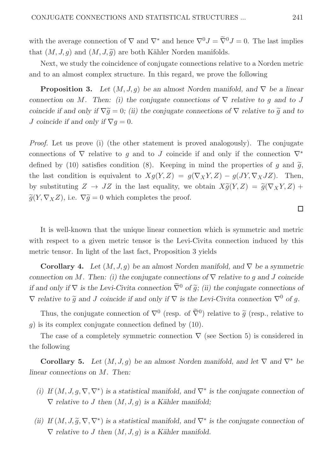with the average connection of  $\nabla$  and  $\nabla^*$  and hence  $\nabla^0 J = \widetilde{\nabla}^0 J = 0$ . The last implies that  $(M, J, g)$  and  $(M, J, \tilde{g})$  are both Kähler Norden manifolds.

Next, we study the coincidence of conjugate connections relative to a Norden metric and to an almost complex structure. In this regard, we prove the following

**Proposition 3.** Let  $(M, J, q)$  be an almost Norden manifold, and  $\nabla$  be a linear connection on M. Then: (i) the conjugate connections of  $\nabla$  relative to q and to J coincide if and only if  $\nabla \tilde{g} = 0$ ; (ii) the conjugate connections of  $\nabla$  relative to  $\tilde{g}$  and to *J* coincide if and only if  $\nabla q = 0$ .

Proof. Let us prove (i) (the other statement is proved analogously). The conjugate connections of  $\nabla$  relative to q and to J coincide if and only if the connection  $\nabla^*$ defined by (10) satisfies condition (8). Keeping in mind the properties of q and  $\tilde{q}$ , the last condition is equivalent to  $Xg(Y,Z) = g(\nabla_X Y, Z) - g(JY, \nabla_X JZ)$ . Then, by substituting  $Z \to JZ$  in the last equality, we obtain  $X\tilde{q}(Y,Z) = \tilde{q}(\nabla_X Y, Z) +$  $\widetilde{g}(Y, \nabla_X Z)$ , i.e.  $\nabla \widetilde{g} = 0$  which completes the proof.

It is well-known that the unique linear connection which is symmetric and metric with respect to a given metric tensor is the Levi-Civita connection induced by this metric tensor. In light of the last fact, Proposition 3 yields

**Corollary 4.** Let  $(M, J, q)$  be an almost Norden manifold, and  $\nabla$  be a symmetric connection on M. Then: (i) the conjugate connections of  $\nabla$  relative to q and J coincide if and only if  $\nabla$  is the Levi-Civita connection  $\tilde{\nabla}^0$  of  $\tilde{q}$ ; (ii) the conjugate connections of  $\nabla$  relative to  $\widetilde{g}$  and J coincide if and only if  $\nabla$  is the Levi-Civita connection  $\nabla^0$  of g.

Thus, the conjugate connection of  $\nabla^0$  (resp. of  $\tilde{\nabla}^0$ ) relative to  $\tilde{g}$  (resp., relative to  $g$ ) is its complex conjugate connection defined by  $(10)$ .

The case of a completely symmetric connection  $\nabla$  (see Section 5) is considered in the following

**Corollary 5.** Let  $(M, J, g)$  be an almost Norden manifold, and let  $\nabla$  and  $\nabla^*$  be linear connections on M. Then:

- (i) If  $(M, J, g, \nabla, \nabla^*)$  is a statistical manifold, and  $\nabla^*$  is the conjugate connection of  $\nabla$  relative to J then  $(M, J, g)$  is a Kähler manifold;
- (ii) If  $(M, J, \tilde{g}, \nabla, \nabla^*)$  is a statistical manifold, and  $\nabla^*$  is the conjugate connection of  $\nabla$  relative to J then  $(M, J, g)$  is a Kähler manifold.

 $\Box$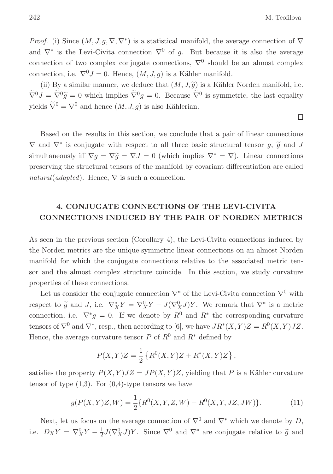*Proof.* (i) Since  $(M, J, g, \nabla, \nabla^*)$  is a statistical manifold, the average connection of  $\nabla$ and  $\nabla^*$  is the Levi-Civita connection  $\nabla^0$  of g. But because it is also the average connection of two complex conjugate connections,  $\nabla^0$  should be an almost complex connection, i.e.  $\nabla^0 J = 0$ . Hence,  $(M, J, q)$  is a Kähler manifold.

(ii) By a similar manner, we deduce that  $(M, J, \tilde{q})$  is a Kähler Norden manifold, i.e.  $\overline{\nabla}^0 J = \overline{\nabla}^0 \widetilde{g} = 0$  which implies  $\overline{\nabla}^0 g = 0$ . Because  $\overline{\nabla}^0$  is symmetric, the last equality yields  $\widetilde{\nabla}^0 = \nabla^0$  and hence  $(M, J, g)$  is also Kählerian.

Based on the results in this section, we conclude that a pair of linear connections  $\nabla$  and  $\nabla^*$  is conjugate with respect to all three basic structural tensor  $g$ ,  $\widetilde{g}$  and  $J$ simultaneously iff  $\nabla g = \nabla \tilde{g} = \nabla J = 0$  (which implies  $\nabla^* = \nabla$ ). Linear connections preserving the structural tensors of the manifold by covariant differentiation are called natural(adapted). Hence,  $\nabla$  is such a connection.

## 4. CONJUGATE CONNECTIONS OF THE LEVI-CIVITA CONNECTIONS INDUCED BY THE PAIR OF NORDEN METRICS

As seen in the previous section (Corollary 4), the Levi-Civita connections induced by the Norden metrics are the unique symmetric linear connections on an almost Norden manifold for which the conjugate connections relative to the associated metric tensor and the almost complex structure coincide. In this section, we study curvature properties of these connections.

Let us consider the conjugate connection  $\nabla^*$  of the Levi-Civita connection  $\nabla^0$  with respect to  $\tilde{g}$  and J, i.e.  $\nabla^*_X Y = \nabla^0_X Y - J(\nabla^0_X J)Y$ . We remark that  $\nabla^*$  is a metric connection, i.e.  $\nabla^* g = 0$ . If we denote by  $R^0$  and  $R^*$  the corresponding curvature tensors of  $\nabla^0$  and  $\nabla^*$ , resp., then according to [6], we have  $JR^*(X, Y)Z = R^0(X, Y)JZ$ . Hence, the average curvature tensor P of  $R^0$  and  $R^*$  defined by

$$
P(X,Y)Z = \frac{1}{2} \left\{ R^{0}(X,Y)Z + R^{*}(X,Y)Z \right\},\,
$$

satisfies the property  $P(X, Y)JZ = JP(X, Y)Z$ , yielding that P is a Kähler curvature tensor of type  $(1,3)$ . For  $(0,4)$ -type tensors we have

$$
g(P(X,Y)Z,W) = \frac{1}{2} \{ R^0(X,Y,Z,W) - R^0(X,Y,JZ,JW) \}.
$$
 (11)

Next, let us focus on the average connection of  $\nabla^0$  and  $\nabla^*$  which we denote by D, i.e.  $D_X Y = \nabla_X^0 Y - \frac{1}{2}$  $\frac{1}{2}J(\nabla_X^0J)Y$ . Since  $\nabla^0$  and  $\nabla^*$  are conjugate relative to  $\tilde{g}$  and

 $\Box$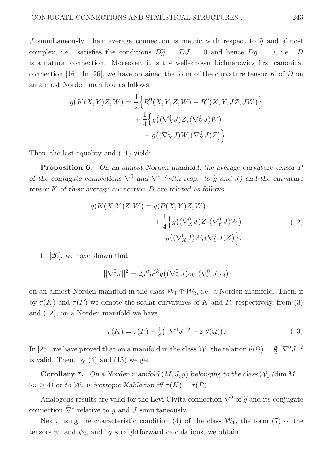J simultaneously, their average connection is metric with respect to  $\tilde{q}$  and almost complex, i.e. satisfies the conditions  $D\tilde{g} = DJ = 0$  and hence  $Dg = 0$ , i.e. D is a natural connection. Moreover, it is the well-known Lichnerowicz first canonical connection [16]. In [26], we have obtained the form of the curvature tensor  $K$  of D on an almost Norden manifold as follows

$$
g(K(X,Y)Z,W) = \frac{1}{2} \Big\{ R^0(X,Y,Z,W) - R^0(X,Y,JZ,JW) \Big\} + \frac{1}{4} \Big\{ g((\nabla_X^0 J)Z,(\nabla_Y^0 J)W) - g((\nabla_X^0 J)W,(\nabla_Y^0 J)Z) \Big\}.
$$

Then, the last equality and (11) yield:

Proposition 6. On an almost Norden manifold, the average curvature tensor P of the conjugate connections  $\nabla^0$  and  $\nabla^*$  (with resp. to  $\tilde{g}$  and J) and the curvature tensor  $K$  of their average connection  $D$  are related as follows

$$
g(K(X,Y)Z,W) = g(P(X,Y)Z,W)
$$
  
+ 
$$
\frac{1}{4} \Big\{ g((\nabla_X^0 J)Z, (\nabla_Y^0 J)W)
$$
  
- 
$$
g((\nabla_X^0 J)W, (\nabla_Y^0 J)Z) \Big\}.
$$
 (12)

In [26], we have shown that

$$
||\nabla^0 J||^2 = 2g^{il}g^{jk}g((\nabla^0_{e_i}J)e_k, (\nabla^0_{e_j}J)e_l)
$$

on an almost Norden manifold in the class  $W_1 \oplus W_2$ , i.e. a Norden manifold. Then, if by  $\tau(K)$  and  $\tau(P)$  we denote the scalar curvatures of K and P, respectively, from (3) and (12), on a Norden manifold we have

$$
\tau(K) = \tau(P) + \frac{1}{8} (||\nabla^{0} J||^{2} - 2 \theta(\Omega)).
$$
\n(13)

In [25], we have proved that on a manifold in the class  $W_1$  the relation  $\theta(\Omega) = \frac{n}{2} ||\nabla^0 J||^2$ is valid. Then, by (4) and (13) we get

**Corollary 7.** On a Norden manifold  $(M, J, g)$  belonging to the class  $\mathcal{W}_1$  (dim  $M =$  $2n \geq 4$ ) or to  $\mathcal{W}_2$  is isotropic Kählerian iff  $\tau(K) = \tau(P)$ .

Analogous results are valid for the Levi-Civita connection  $\tilde{\nabla}^0$  of  $\tilde{g}$  and its conjugate connection  $\widetilde{\nabla}^*$  relative to g and J simultaneously.

Next, using the characteristic condition (4) of the class  $\mathcal{W}_1$ , the form (7) of the tensors  $\psi_1$  and  $\psi_2$ , and by straightforward calculations, we obtain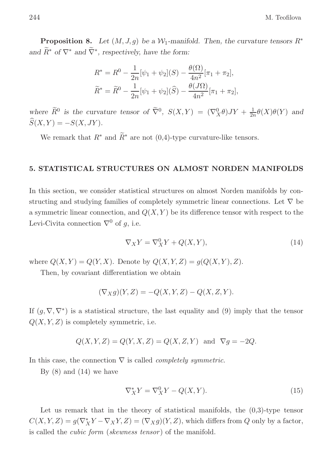**Proposition 8.** Let  $(M, J, q)$  be a W<sub>1</sub>-manifold. Then, the curvature tensors  $R^*$ and  $\widetilde{R}^*$  of  $\nabla^*$  and  $\widetilde{\nabla}^*$ , respectively, have the form:

$$
R^* = R^0 - \frac{1}{2n} [\psi_1 + \psi_2](S) - \frac{\theta(\Omega)}{4n^2} [\pi_1 + \pi_2],
$$
  

$$
\widetilde{R}^* = \widetilde{R}^0 - \frac{1}{2n} [\psi_1 + \psi_2](\widehat{S}) - \frac{\theta(J\Omega)}{4n^2} [\pi_1 + \pi_2],
$$

where  $\widetilde{R}^0$  is the curvature tensor of  $\widetilde{\nabla}^0$ ,  $S(X,Y) = (\nabla_X^0 \theta)JY + \frac{1}{2n} \theta(X)\theta(Y)$  and  $\widehat{S}(X, Y) = -S(X, JY).$ 

We remark that  $R^*$  and  $\widetilde{R}^*$  are not (0,4)-type curvature-like tensors.

#### 5. STATISTICAL STRUCTURES ON ALMOST NORDEN MANIFOLDS

In this section, we consider statistical structures on almost Norden manifolds by constructing and studying families of completely symmetric linear connections. Let  $\nabla$  be a symmetric linear connection, and  $Q(X, Y)$  be its difference tensor with respect to the Levi-Civita connection  $\nabla^0$  of g, i.e.

$$
\nabla_X Y = \nabla_X^0 Y + Q(X, Y),\tag{14}
$$

where  $Q(X, Y) = Q(Y, X)$ . Denote by  $Q(X, Y, Z) = g(Q(X, Y), Z)$ .

Then, by covariant differentiation we obtain

$$
(\nabla_X g)(Y,Z) = -Q(X,Y,Z) - Q(X,Z,Y).
$$

If  $(g, \nabla, \nabla^*)$  is a statistical structure, the last equality and (9) imply that the tensor  $Q(X, Y, Z)$  is completely symmetric, i.e.

$$
Q(X, Y, Z) = Q(Y, X, Z) = Q(X, Z, Y) \text{ and } \nabla g = -2Q.
$$

In this case, the connection  $\nabla$  is called *completely symmetric*.

By  $(8)$  and  $(14)$  we have

$$
\nabla_X^* Y = \nabla_X^0 Y - Q(X, Y). \tag{15}
$$

Let us remark that in the theory of statistical manifolds, the  $(0,3)$ -type tensor  $C(X, Y, Z) = g(\nabla_X^* Y - \nabla_X Y, Z) = (\nabla_X g)(Y, Z)$ , which differs from Q only by a factor, is called the *cubic form* (*skewness tensor*) of the manifold.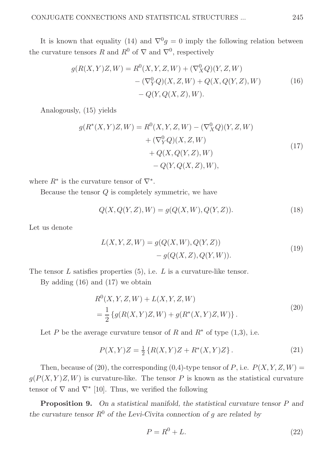It is known that equality (14) and  $\nabla^0 g = 0$  imply the following relation between the curvature tensors R and  $R^0$  of  $\nabla$  and  $\nabla^0$ , respectively

$$
g(R(X,Y)Z,W) = R^{0}(X,Y,Z,W) + (\nabla^{0}_{X}Q)(Y,Z,W) - (\nabla^{0}_{Y}Q)(X,Z,W) + Q(X,Q(Y,Z),W) - Q(Y,Q(X,Z),W).
$$
\n(16)

Analogously, (15) yields

$$
g(R^*(X, Y)Z, W) = R^0(X, Y, Z, W) - (\nabla_X^0 Q)(Y, Z, W) + (\nabla_Y^0 Q)(X, Z, W) + Q(X, Q(Y, Z), W) - Q(Y, Q(X, Z), W),
$$
\n(17)

where  $R^*$  is the curvature tensor of  $\nabla^*$ .

Because the tensor Q is completely symmetric, we have

$$
Q(X, Q(Y, Z), W) = g(Q(X, W), Q(Y, Z)).
$$
\n(18)

Let us denote

$$
L(X, Y, Z, W) = g(Q(X, W), Q(Y, Z))
$$
  
- g(Q(X, Z), Q(Y, W)). (19)

The tensor  $L$  satisfies properties  $(5)$ , i.e.  $L$  is a curvature-like tensor.

By adding (16) and (17) we obtain

$$
R^{0}(X, Y, Z, W) + L(X, Y, Z, W)
$$
  
=  $\frac{1}{2}$  { $g(R(X, Y)Z, W) + g(R^{*}(X, Y)Z, W)$  }. (20)

Let P be the average curvature tensor of R and  $R^*$  of type  $(1,3)$ , i.e.

$$
P(X,Y)Z = \frac{1}{2} \{ R(X,Y)Z + R^*(X,Y)Z \}.
$$
 (21)

Then, because of (20), the corresponding  $(0,4)$ -type tensor of P, i.e.  $P(X, Y, Z, W) =$  $g(P(X, Y)Z, W)$  is curvature-like. The tensor P is known as the statistical curvature tensor of  $\nabla$  and  $\nabla^*$  [10]. Thus, we verified the following

Proposition 9. On a statistical manifold, the statistical curvature tensor P and the curvature tensor  $R^0$  of the Levi-Civita connection of g are related by

$$
P = R^0 + L.\t\t(22)
$$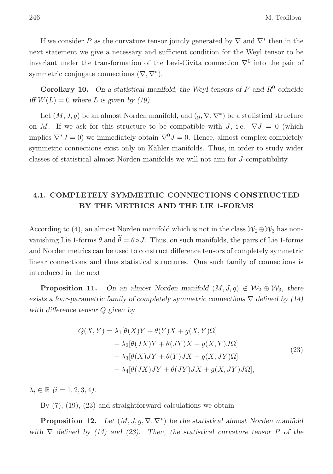If we consider P as the curvature tensor jointly generated by  $\nabla$  and  $\nabla^*$  then in the next statement we give a necessary and sufficient condition for the Weyl tensor to be invariant under the transformation of the Levi-Civita connection  $\nabla^0$  into the pair of symmetric conjugate connections  $(\nabla, \nabla^*)$ .

**Corollary 10.** On a statistical manifold, the Weyl tensors of P and  $R^0$  coincide iff  $W(L) = 0$  where L is given by (19).

Let  $(M, J, g)$  be an almost Norden manifold, and  $(g, \nabla, \nabla^*)$  be a statistical structure on M. If we ask for this structure to be compatible with J, i.e.  $\nabla J = 0$  (which implies  $\nabla^* J = 0$ ) we immediately obtain  $\nabla^0 J = 0$ . Hence, almost complex completely symmetric connections exist only on Kähler manifolds. Thus, in order to study wider classes of statistical almost Norden manifolds we will not aim for J-compatibility.

### 4.1. COMPLETELY SYMMETRIC CONNECTIONS CONSTRUCTED BY THE METRICS AND THE LIE 1-FORMS

According to (4), an almost Norden manifold which is not in the class  $\mathcal{W}_2 \oplus \mathcal{W}_3$  has nonvanishing Lie 1-forms  $\theta$  and  $\tilde{\theta} = \theta \circ J$ . Thus, on such manifolds, the pairs of Lie 1-forms and Norden metrics can be used to construct difference tensors of completely symmetric linear connections and thus statistical structures. One such family of connections is introduced in the next

**Proposition 11.** On an almost Norden manifold  $(M, J, g) \notin W_2 \oplus W_3$ , there exists a four-parametric family of completely symmetric connections  $\nabla$  defined by (14) with difference tensor Q given by

$$
Q(X,Y) = \lambda_1[\theta(X)Y + \theta(Y)X + g(X,Y)\Omega]
$$
  
+ 
$$
\lambda_2[\theta(JX)Y + \theta(JY)X + g(X,Y)J\Omega]
$$
  
+ 
$$
\lambda_3[\theta(X)JY + \theta(Y)JX + g(X,JY)\Omega]
$$
  
+ 
$$
\lambda_4[\theta(JX)JY + \theta(JY)JX + g(X,JY)J\Omega],
$$
 (23)

 $\lambda_i \in \mathbb{R}$   $(i = 1, 2, 3, 4)$ .

By  $(7)$ ,  $(19)$ ,  $(23)$  and straightforward calculations we obtain

**Proposition 12.** Let  $(M, J, g, \nabla, \nabla^*)$  be the statistical almost Norden manifold with  $\nabla$  defined by (14) and (23). Then, the statistical curvature tensor P of the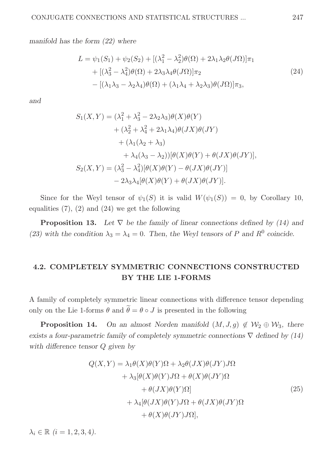manifold has the form (22) where

$$
L = \psi_1(S_1) + \psi_2(S_2) + [(\lambda_1^2 - \lambda_2^2)\theta(\Omega) + 2\lambda_1\lambda_2\theta(J\Omega)]\pi_1
$$
  
+ 
$$
[(\lambda_3^2 - \lambda_4^2)\theta(\Omega) + 2\lambda_3\lambda_4\theta(J\Omega)]\pi_2
$$
  
- 
$$
[(\lambda_1\lambda_3 - \lambda_2\lambda_4)\theta(\Omega) + (\lambda_1\lambda_4 + \lambda_2\lambda_3)\theta(J\Omega)]\pi_3,
$$
 (24)

and

$$
S_1(X,Y) = (\lambda_1^2 + \lambda_3^2 - 2\lambda_2\lambda_3)\theta(X)\theta(Y)
$$
  
+ 
$$
(\lambda_2^2 + \lambda_4^2 + 2\lambda_1\lambda_4)\theta(JX)\theta(JY)
$$
  
+ 
$$
(\lambda_1(\lambda_2 + \lambda_3)
$$
  
+ 
$$
\lambda_4(\lambda_3 - \lambda_2))[\theta(X)\theta(Y) + \theta(JX)\theta(JY)],
$$
  

$$
S_2(X,Y) = (\lambda_3^2 - \lambda_4^2)[\theta(X)\theta(Y) - \theta(JX)\theta(JY)]
$$
  
- 
$$
2\lambda_3\lambda_4[\theta(X)\theta(Y) + \theta(JX)\theta(JY)].
$$

Since for the Weyl tensor of  $\psi_1(S)$  it is valid  $W(\psi_1(S)) = 0$ , by Corollary 10, equalities  $(7)$ ,  $(2)$  and  $(24)$  we get the following

**Proposition 13.** Let  $\nabla$  be the family of linear connections defined by (14) and (23) with the condition  $\lambda_3 = \lambda_4 = 0$ . Then, the Weyl tensors of P and R<sup>0</sup> coincide.

### 4.2. COMPLETELY SYMMETRIC CONNECTIONS CONSTRUCTED BY THE LIE 1-FORMS

A family of completely symmetric linear connections with difference tensor depending only on the Lie 1-forms  $\theta$  and  $\tilde{\theta} = \theta \circ J$  is presented in the following

**Proposition 14.** On an almost Norden manifold  $(M, J, g) \notin W_2 \oplus W_3$ , there exists a four-parametric family of completely symmetric connections  $\nabla$  defined by (14) with difference tensor Q given by

$$
Q(X,Y) = \lambda_1 \theta(X)\theta(Y)\Omega + \lambda_2 \theta(JX)\theta(JY)J\Omega
$$
  
+ 
$$
\lambda_3[\theta(X)\theta(Y)J\Omega + \theta(X)\theta(JY)\Omega
$$
  
+ 
$$
\theta(JX)\theta(Y)\Omega]
$$
  
+ 
$$
\lambda_4[\theta(JX)\theta(Y)J\Omega + \theta(JX)\theta(JY)\Omega
$$
  
+ 
$$
\theta(X)\theta(JY)J\Omega],
$$
 (25)

 $\lambda_i \in \mathbb{R}$   $(i = 1, 2, 3, 4)$ .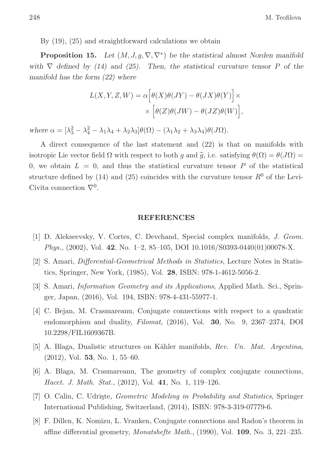By (19), (25) and straightforward calculations we obtain

**Proposition 15.** Let  $(M, J, g, \nabla, \nabla^*)$  be the statistical almost Norden manifold with  $\nabla$  defined by (14) and (25). Then, the statistical curvature tensor P of the manifold has the form (22) where

$$
L(X, Y, Z, W) = \alpha \Big[ \theta(X)\theta(JY) - \theta(JX)\theta(Y) \Big] \times
$$
  
 
$$
\times \Big[ \theta(Z)\theta(JW) - \theta(JZ)\theta(W) \Big],
$$

where  $\alpha = [\lambda_3^2 - \lambda_4^2 - \lambda_1\lambda_4 + \lambda_2\lambda_3]\theta(\Omega) - (\lambda_1\lambda_2 + \lambda_3\lambda_4)\theta(J\Omega).$ 

A direct consequence of the last statement and (22) is that on manifolds with isotropic Lie vector field  $\Omega$  with respect to both q and  $\tilde{q}$ , i.e. satisfying  $\theta(\Omega) = \theta(J\Omega)$ 0, we obtain  $L = 0$ , and thus the statistical curvature tensor P of the statistical structure defined by (14) and (25) coincides with the curvature tensor  $R^0$  of the Levi-Civita connection  $\nabla^0$ .

#### REFERENCES

- [1] D. Alekseevsky, V. Cortes, C. Devchand, Special complex manifolds, J. Geom. *Phys.*,  $(2002)$ , Vol. 42, No. 1–2, 85–105, DOI 10.1016/S0393-0440 $(01)00078-X$ .
- [2] S. Amari, Differential-Geometrical Methods in Statistics, Lecture Notes in Statistics, Springer, New York, (1985), Vol. 28, ISBN: 978-1-4612-5056-2.
- [3] S. Amari, Information Geometry and its Applications, Applied Math. Sci., Springer, Japan, (2016), Vol. 194, ISBN: 978-4-431-55977-1.
- [4] C. Bejan, M. Crasmareanu, Conjugate connections with respect to a quadratic endomorphism and duality, Filomat, (2016), Vol. 30, No. 9, 2367–2374, DOI 10.2298/FIL1609367B.
- [5] A. Blaga, Dualistic structures on Kähler manifolds, Rev. Un. Mat. Argentina, (2012), Vol. 53, No. 1, 55–60.
- [6] A. Blaga, M. Crasmareanu, The geometry of complex conjugate connections, Hacet. J. Math. Stat., (2012), Vol. 41, No. 1, 119–126.
- [7] O. Calin, C. Udriste, *Geometric Modeling in Probability and Statistics*, Springer International Publishing, Switzerland, (2014), ISBN: 978-3-319-07779-6.
- [8] F. Dillen, K. Nomizu, L. Vranken, Conjugate connections and Radon's theorem in affine differential geometry, Monatshefte Math., (1990), Vol. 109, No. 3, 221–235.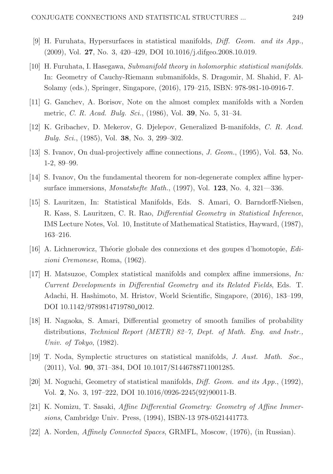- [9] H. Furuhata, Hypersurfaces in statistical manifolds, Diff. Geom. and its App., (2009), Vol. 27, No. 3, 420–429, DOI 10.1016/j.difgeo.2008.10.019.
- [10] H. Furuhata, I. Hasegawa, Submanifold theory in holomorphic statistical manifolds. In: Geometry of Cauchy-Riemann submanifolds, S. Dragomir, M. Shahid, F. Al-Solamy (eds.), Springer, Singapore, (2016), 179–215, ISBN: 978-981-10-0916-7.
- [11] G. Ganchev, A. Borisov, Note on the almost complex manifolds with a Norden metric, C. R. Acad. Bulg. Sci., (1986), Vol. 39, No. 5, 31–34.
- [12] K. Gribachev, D. Mekerov, G. Djelepov, Generalized B-manifolds, C. R. Acad. Bulg. Sci., (1985), Vol. 38, No. 3, 299–302.
- [13] S. Ivanov, On dual-projectively affine connections, J. Geom., (1995), Vol. 53, No. 1-2, 89–99.
- [14] S. Ivanov, On the fundamental theorem for non-degenerate complex affine hypersurface immersions, Monatshefte Math., (1997), Vol. 123, No. 4, 321—336.
- [15] S. Lauritzen, In: Statistical Manifolds, Eds. S. Amari, O. Barndorff-Nielsen, R. Kass, S. Lauritzen, C. R. Rao, Differential Geometry in Statistical Inference, IMS Lecture Notes, Vol. 10, Institute of Mathematical Statistics, Hayward, (1987), 163–216.
- [16] A. Lichnerowicz, Théorie globale des connexions et des goupes d'homotopie,  $Edi$ zioni Cremonese, Roma, (1962).
- [17] H. Matsuzoe, Complex statistical manifolds and complex affine immersions, In: Current Developments in Differential Geometry and its Related Fields, Eds. T. Adachi, H. Hashimoto, M. Hristov, World Scientific, Singapore, (2016), 183–199, DOI 10.1142/9789814719780<sub>-0012</sub>.
- [18] H. Nagaoka, S. Amari, Differential geometry of smooth families of probability distributions, Technical Report (METR) 82–7, Dept. of Math. Eng. and Instr., Univ. of Tokyo, (1982).
- [19] T. Noda, Symplectic structures on statistical manifolds, J. Aust. Math. Soc., (2011), Vol. 90, 371–384, DOI 10.1017/S1446788711001285.
- [20] M. Noguchi, Geometry of statistical manifolds, Diff. Geom. and its App., (1992), Vol. 2, No. 3, 197–222, DOI 10.1016/0926-2245(92)90011-B.
- [21] K. Nomizu, T. Sasaki, Affine Differential Geometry: Geometry of Affine Immersions, Cambridge Univ. Press, (1994), ISBN-13 978-0521441773.
- [22] A. Norden, Affinely Connected Spaces, GRMFL, Moscow, (1976), (in Russian).